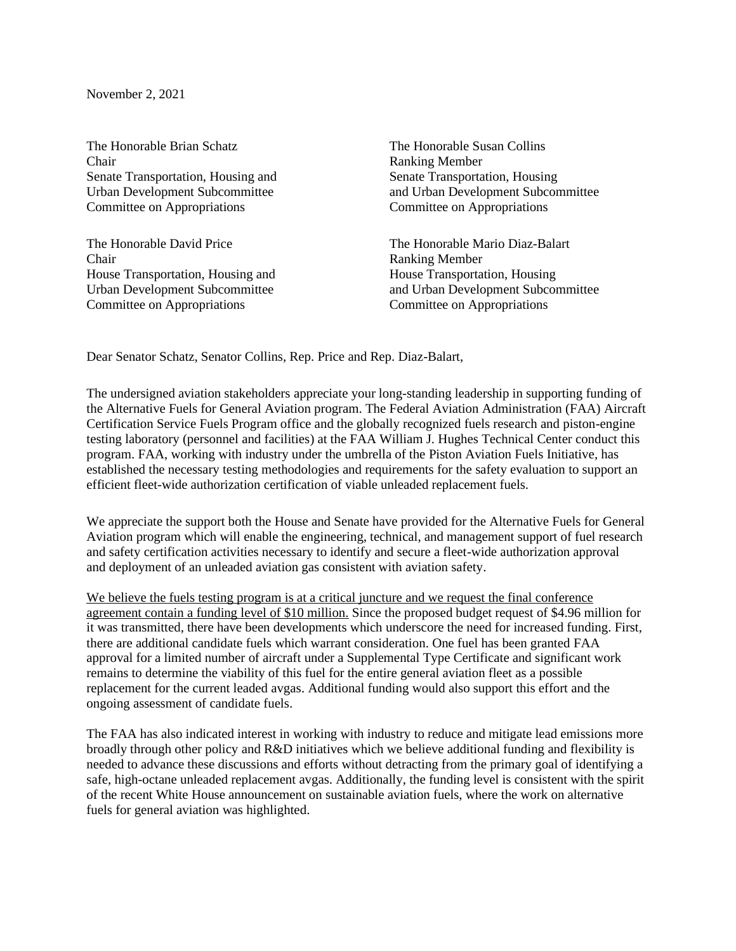November 2, 2021

The Honorable Brian Schatz The Honorable Susan Collins Chair Ranking Member Senate Transportation, Housing and Senate Transportation, Housing<br>
Urban Development Subcommittee and Urban Development Subcor Committee on Appropriations Committee on Appropriations

The Honorable David Price The Honorable Mario Diaz-Balart Chair Ranking Member House Transportation, Housing and House Transportation, Housing Committee on Appropriations Committee on Appropriations

and Urban Development Subcommittee

Urban Development Subcommittee and Urban Development Subcommittee

Dear Senator Schatz, Senator Collins, Rep. Price and Rep. Diaz-Balart,

The undersigned aviation stakeholders appreciate your long-standing leadership in supporting funding of the Alternative Fuels for General Aviation program. The Federal Aviation Administration (FAA) Aircraft Certification Service Fuels Program office and the globally recognized fuels research and piston-engine testing laboratory (personnel and facilities) at the FAA William J. Hughes Technical Center conduct this program. FAA, working with industry under the umbrella of the Piston Aviation Fuels Initiative, has established the necessary testing methodologies and requirements for the safety evaluation to support an efficient fleet-wide authorization certification of viable unleaded replacement fuels.

We appreciate the support both the House and Senate have provided for the Alternative Fuels for General Aviation program which will enable the engineering, technical, and management support of fuel research and safety certification activities necessary to identify and secure a fleet-wide authorization approval and deployment of an unleaded aviation gas consistent with aviation safety.

We believe the fuels testing program is at a critical juncture and we request the final conference agreement contain a funding level of \$10 million. Since the proposed budget request of \$4.96 million for it was transmitted, there have been developments which underscore the need for increased funding. First, there are additional candidate fuels which warrant consideration. One fuel has been granted FAA approval for a limited number of aircraft under a Supplemental Type Certificate and significant work remains to determine the viability of this fuel for the entire general aviation fleet as a possible replacement for the current leaded avgas. Additional funding would also support this effort and the ongoing assessment of candidate fuels.

The FAA has also indicated interest in working with industry to reduce and mitigate lead emissions more broadly through other policy and R&D initiatives which we believe additional funding and flexibility is needed to advance these discussions and efforts without detracting from the primary goal of identifying a safe, high-octane unleaded replacement avgas. Additionally, the funding level is consistent with the spirit of the recent White House announcement on sustainable aviation fuels, where the work on alternative fuels for general aviation was highlighted.